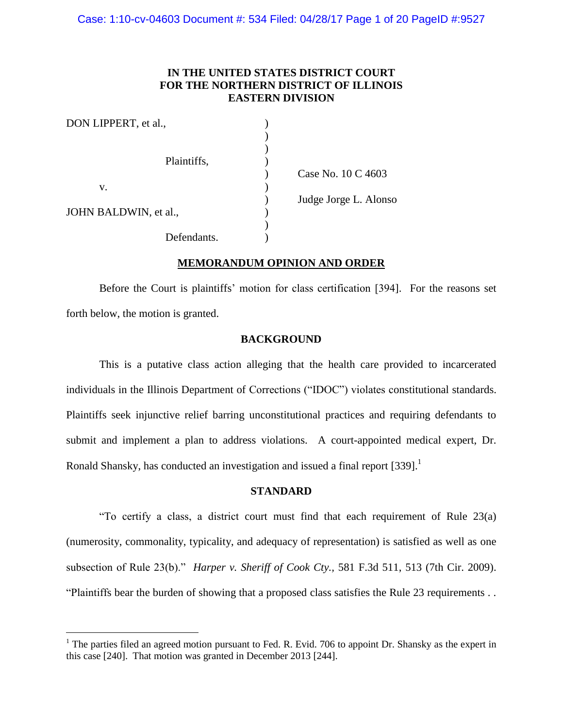# **IN THE UNITED STATES DISTRICT COURT FOR THE NORTHERN DISTRICT OF ILLINOIS EASTERN DIVISION**

| DON LIPPERT, et al.,  |                       |
|-----------------------|-----------------------|
|                       |                       |
|                       |                       |
| Plaintiffs,           |                       |
|                       | Case No. 10 C 4603    |
| v.                    |                       |
|                       | Judge Jorge L. Alonso |
| JOHN BALDWIN, et al., |                       |
|                       |                       |
| Defendants.           |                       |

# **MEMORANDUM OPINION AND ORDER**

Before the Court is plaintiffs' motion for class certification [394]. For the reasons set forth below, the motion is granted.

## **BACKGROUND**

This is a putative class action alleging that the health care provided to incarcerated individuals in the Illinois Department of Corrections ("IDOC") violates constitutional standards. Plaintiffs seek injunctive relief barring unconstitutional practices and requiring defendants to submit and implement a plan to address violations. A court-appointed medical expert, Dr. Ronald Shansky, has conducted an investigation and issued a final report  $[339]$ .<sup>1</sup>

### **STANDARD**

"To certify a class, a district court must find that each requirement of Rule 23(a) (numerosity, commonality, typicality, and adequacy of representation) is satisfied as well as one subsection of Rule 23(b)." *Harper v. Sheriff of Cook Cty.,* 581 F.3d 511, 513 (7th Cir. 2009). "Plaintiffs bear the burden of showing that a proposed class satisfies the Rule 23 requirements . .

l

 $1$  The parties filed an agreed motion pursuant to Fed. R. Evid. 706 to appoint Dr. Shansky as the expert in this case [240]. That motion was granted in December 2013 [244].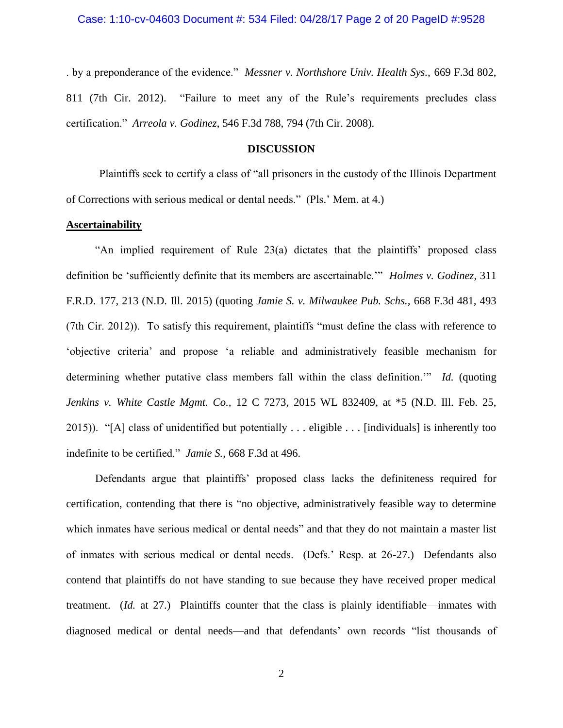Case: 1:10-cv-04603 Document #: 534 Filed: 04/28/17 Page 2 of 20 PageID #:9528

. by a preponderance of the evidence." *Messner v. Northshore Univ. Health Sys.,* 669 F.3d 802, 811 (7th Cir. 2012). "Failure to meet any of the Rule's requirements precludes class certification." *Arreola v. Godinez*, 546 F.3d 788, 794 (7th Cir. 2008).

### **DISCUSSION**

Plaintiffs seek to certify a class of "all prisoners in the custody of the Illinois Department of Corrections with serious medical or dental needs." (Pls.' Mem. at 4.)

## **Ascertainability**

"An implied requirement of Rule 23(a) dictates that the plaintiffs' proposed class definition be 'sufficiently definite that its members are ascertainable.'" *Holmes v. Godinez,* 311 F.R.D. 177, 213 (N.D. Ill. 2015) (quoting *Jamie S. v. Milwaukee Pub. Schs.,* 668 F.3d 481, 493 (7th Cir. 2012)). To satisfy this requirement, plaintiffs "must define the class with reference to 'objective criteria' and propose 'a reliable and administratively feasible mechanism for determining whether putative class members fall within the class definition.'" *Id.* (quoting *Jenkins v. White Castle Mgmt. Co.,* 12 C 7273, 2015 WL 832409, at \*5 (N.D. Ill. Feb. 25, 2015)). "[A] class of unidentified but potentially . . . eligible . . . [individuals] is inherently too indefinite to be certified." *Jamie S.,* 668 F.3d at 496.

Defendants argue that plaintiffs' proposed class lacks the definiteness required for certification, contending that there is "no objective, administratively feasible way to determine which inmates have serious medical or dental needs" and that they do not maintain a master list of inmates with serious medical or dental needs. (Defs.' Resp. at 26-27.) Defendants also contend that plaintiffs do not have standing to sue because they have received proper medical treatment. (*Id.* at 27.) Plaintiffs counter that the class is plainly identifiable—inmates with diagnosed medical or dental needs—and that defendants' own records "list thousands of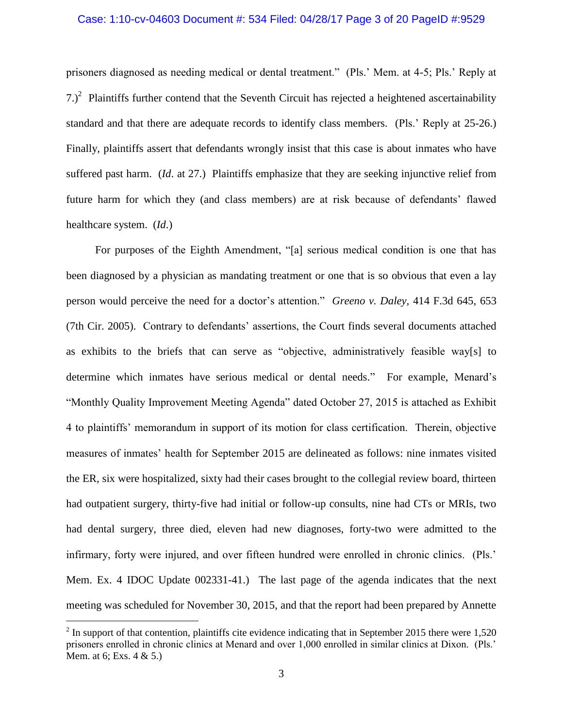## Case: 1:10-cv-04603 Document #: 534 Filed: 04/28/17 Page 3 of 20 PageID #:9529

prisoners diagnosed as needing medical or dental treatment." (Pls.' Mem. at 4-5; Pls.' Reply at  $(7.)^2$  Plaintiffs further contend that the Seventh Circuit has rejected a heightened ascertainability standard and that there are adequate records to identify class members. (Pls.' Reply at 25-26.) Finally, plaintiffs assert that defendants wrongly insist that this case is about inmates who have suffered past harm. (*Id*. at 27.) Plaintiffs emphasize that they are seeking injunctive relief from future harm for which they (and class members) are at risk because of defendants' flawed healthcare system. (*Id*.)

For purposes of the Eighth Amendment, "[a] serious medical condition is one that has been diagnosed by a physician as mandating treatment or one that is so obvious that even a lay person would perceive the need for a doctor's attention." *Greeno v. Daley,* 414 F.3d 645, 653 (7th Cir. 2005). Contrary to defendants' assertions, the Court finds several documents attached as exhibits to the briefs that can serve as "objective, administratively feasible way[s] to determine which inmates have serious medical or dental needs." For example, Menard's "Monthly Quality Improvement Meeting Agenda" dated October 27, 2015 is attached as Exhibit 4 to plaintiffs' memorandum in support of its motion for class certification. Therein, objective measures of inmates' health for September 2015 are delineated as follows: nine inmates visited the ER, six were hospitalized, sixty had their cases brought to the collegial review board, thirteen had outpatient surgery, thirty-five had initial or follow-up consults, nine had CTs or MRIs, two had dental surgery, three died, eleven had new diagnoses, forty-two were admitted to the infirmary, forty were injured, and over fifteen hundred were enrolled in chronic clinics. (Pls.' Mem. Ex. 4 IDOC Update 002331-41.) The last page of the agenda indicates that the next meeting was scheduled for November 30, 2015, and that the report had been prepared by Annette

 $2^{2}$  In support of that contention, plaintiffs cite evidence indicating that in September 2015 there were 1,520 prisoners enrolled in chronic clinics at Menard and over 1,000 enrolled in similar clinics at Dixon. (Pls.' Mem. at 6; Exs. 4 & 5.)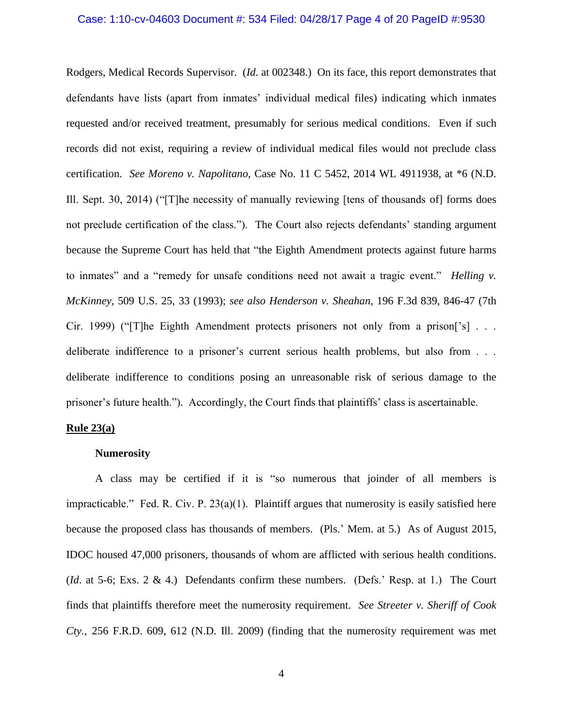#### Case: 1:10-cv-04603 Document #: 534 Filed: 04/28/17 Page 4 of 20 PageID #:9530

Rodgers, Medical Records Supervisor. (*Id*. at 002348.) On its face, this report demonstrates that defendants have lists (apart from inmates' individual medical files) indicating which inmates requested and/or received treatment, presumably for serious medical conditions. Even if such records did not exist, requiring a review of individual medical files would not preclude class certification. *See Moreno v. Napolitano,* Case No. 11 C 5452, 2014 WL 4911938, at \*6 (N.D. Ill. Sept. 30, 2014) ("[T]he necessity of manually reviewing [tens of thousands of] forms does not preclude certification of the class."). The Court also rejects defendants' standing argument because the Supreme Court has held that "the Eighth Amendment protects against future harms to inmates" and a "remedy for unsafe conditions need not await a tragic event." *Helling v. McKinney,* 509 U.S. 25, 33 (1993); *see also Henderson v. Sheahan,* 196 F.3d 839, 846-47 (7th Cir. 1999) ("[T]he Eighth Amendment protects prisoners not only from a prison['s] . . . deliberate indifference to a prisoner's current serious health problems, but also from . . . deliberate indifference to conditions posing an unreasonable risk of serious damage to the prisoner's future health."). Accordingly, the Court finds that plaintiffs' class is ascertainable.

#### **Rule 23(a)**

#### **Numerosity**

A class may be certified if it is "so numerous that joinder of all members is impracticable." Fed. R. Civ. P.  $23(a)(1)$ . Plaintiff argues that numerosity is easily satisfied here because the proposed class has thousands of members. (Pls.' Mem. at 5.) As of August 2015, IDOC housed 47,000 prisoners, thousands of whom are afflicted with serious health conditions. (*Id*. at 5-6; Exs. 2 & 4.) Defendants confirm these numbers. (Defs.' Resp. at 1.) The Court finds that plaintiffs therefore meet the numerosity requirement. *See Streeter v. Sheriff of Cook Cty.,* 256 F.R.D. 609, 612 (N.D. Ill. 2009) (finding that the numerosity requirement was met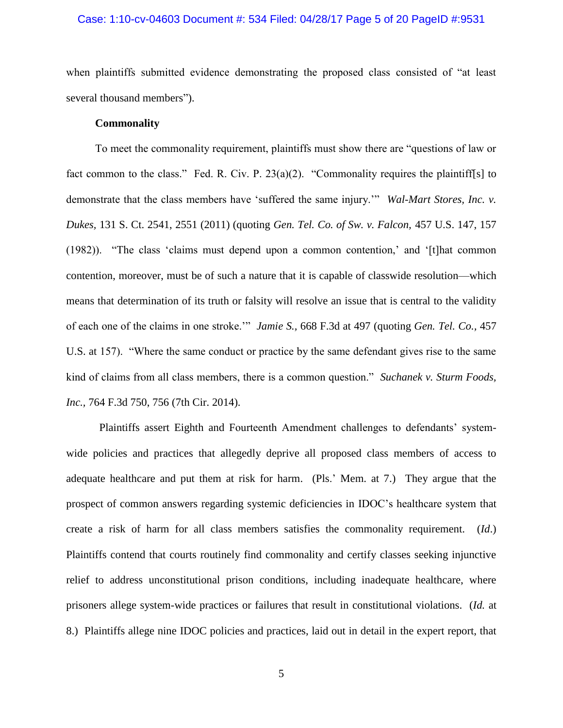## Case: 1:10-cv-04603 Document #: 534 Filed: 04/28/17 Page 5 of 20 PageID #:9531

when plaintiffs submitted evidence demonstrating the proposed class consisted of "at least several thousand members").

### **Commonality**

To meet the commonality requirement, plaintiffs must show there are "questions of law or fact common to the class." Fed. R. Civ. P. 23(a)(2). "Commonality requires the plaintiff[s] to demonstrate that the class members have 'suffered the same injury.'" *Wal-Mart Stores, Inc. v. Dukes,* 131 S. Ct. 2541, 2551 (2011) (quoting *Gen. Tel. Co. of Sw. v. Falcon,* 457 U.S. 147, 157 (1982)). "The class 'claims must depend upon a common contention,' and '[t]hat common contention, moreover, must be of such a nature that it is capable of classwide resolution—which means that determination of its truth or falsity will resolve an issue that is central to the validity of each one of the claims in one stroke.'" *Jamie S.,* 668 F.3d at 497 (quoting *Gen. Tel. Co.,* 457 U.S. at 157). "Where the same conduct or practice by the same defendant gives rise to the same kind of claims from all class members, there is a common question." *Suchanek v. Sturm Foods, Inc.,* 764 F.3d 750, 756 (7th Cir. 2014).

Plaintiffs assert Eighth and Fourteenth Amendment challenges to defendants' systemwide policies and practices that allegedly deprive all proposed class members of access to adequate healthcare and put them at risk for harm. (Pls.' Mem. at 7.) They argue that the prospect of common answers regarding systemic deficiencies in IDOC's healthcare system that create a risk of harm for all class members satisfies the commonality requirement. (*Id*.) Plaintiffs contend that courts routinely find commonality and certify classes seeking injunctive relief to address unconstitutional prison conditions, including inadequate healthcare, where prisoners allege system-wide practices or failures that result in constitutional violations. (*Id.* at 8.) Plaintiffs allege nine IDOC policies and practices, laid out in detail in the expert report, that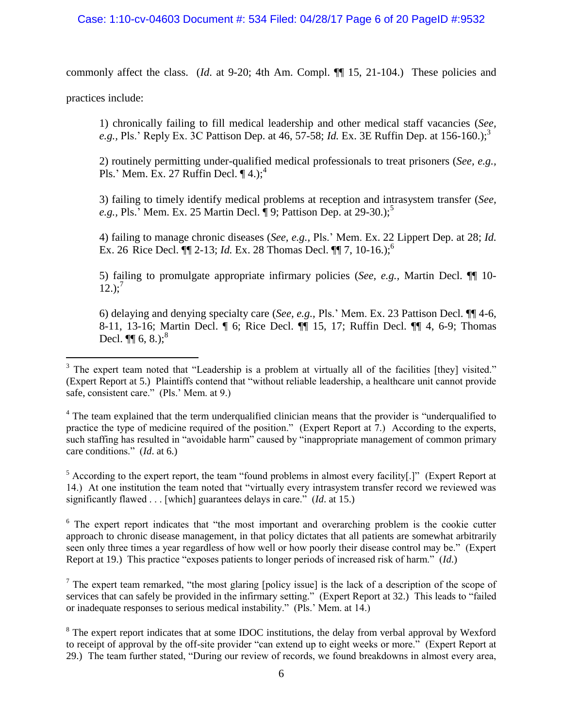# Case: 1:10-cv-04603 Document #: 534 Filed: 04/28/17 Page 6 of 20 PageID #:9532

commonly affect the class. (*Id*. at 9-20; 4th Am. Compl. ¶¶ 15, 21-104.) These policies and

practices include:

 $\overline{a}$ 

1) chronically failing to fill medical leadership and other medical staff vacancies (*See, e.g.,* Pls.' Reply Ex. 3C Pattison Dep. at 46, 57-58; *Id.* Ex. 3E Ruffin Dep. at 156-160.); 3

2) routinely permitting under-qualified medical professionals to treat prisoners (*See, e.g.,* Pls.' Mem. Ex. 27 Ruffin Decl.  $\P$ 4.);<sup>4</sup>

3) failing to timely identify medical problems at reception and intrasystem transfer (*See, e.g.,* Pls.' Mem. Ex. 25 Martin Decl. ¶ 9; Pattison Dep. at 29-30.); 5

4) failing to manage chronic diseases (*See, e.g.,* Pls.' Mem. Ex. 22 Lippert Dep. at 28; *Id.*  Ex. 26 Rice Decl. **[1]** 2-13; *Id.* Ex. 28 Thomas Decl. **[1]** 7, 10-16.);<sup>6</sup>

5) failing to promulgate appropriate infirmary policies (*See, e.g.,* Martin Decl. ¶¶ 10-  $12.$ );<sup>7</sup>

6) delaying and denying specialty care (*See, e.g.,* Pls.' Mem. Ex. 23 Pattison Decl. ¶¶ 4-6, 8-11, 13-16; Martin Decl. ¶ 6; Rice Decl. ¶¶ 15, 17; Ruffin Decl. ¶¶ 4, 6-9; Thomas Decl.  $\P\P$  6, 8.);<sup>8</sup>

 $5$  According to the expert report, the team "found problems in almost every facility[.]" (Expert Report at 14.) At one institution the team noted that "virtually every intrasystem transfer record we reviewed was significantly flawed . . . [which] guarantees delays in care." (*Id*. at 15.)

<sup>6</sup> The expert report indicates that "the most important and overarching problem is the cookie cutter approach to chronic disease management, in that policy dictates that all patients are somewhat arbitrarily seen only three times a year regardless of how well or how poorly their disease control may be." (Expert Report at 19.) This practice "exposes patients to longer periods of increased risk of harm." (*Id*.)

 $<sup>7</sup>$  The expert team remarked, "the most glaring [policy issue] is the lack of a description of the scope of</sup> services that can safely be provided in the infirmary setting." (Expert Report at 32.) This leads to "failed or inadequate responses to serious medical instability." (Pls.' Mem. at 14.)

<sup>8</sup> The expert report indicates that at some IDOC institutions, the delay from verbal approval by Wexford to receipt of approval by the off-site provider "can extend up to eight weeks or more." (Expert Report at 29.) The team further stated, "During our review of records, we found breakdowns in almost every area,

<sup>&</sup>lt;sup>3</sup> The expert team noted that "Leadership is a problem at virtually all of the facilities [they] visited." (Expert Report at 5.) Plaintiffs contend that "without reliable leadership, a healthcare unit cannot provide safe, consistent care." (Pls.' Mem. at 9.)

<sup>&</sup>lt;sup>4</sup> The team explained that the term underqualified clinician means that the provider is "underqualified to practice the type of medicine required of the position." (Expert Report at 7.) According to the experts, such staffing has resulted in "avoidable harm" caused by "inappropriate management of common primary care conditions." (*Id*. at 6.)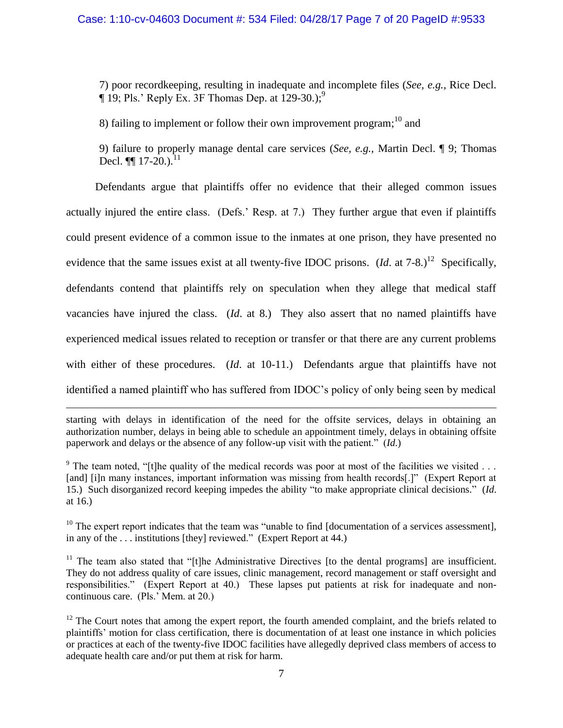## Case: 1:10-cv-04603 Document #: 534 Filed: 04/28/17 Page 7 of 20 PageID #:9533

7) poor recordkeeping, resulting in inadequate and incomplete files (*See, e.g.,* Rice Decl.  $\P$  19; Pls.' Reply Ex. 3F Thomas Dep. at 129-30.);<sup>9</sup>

8) failing to implement or follow their own improvement program;  $\frac{10}{10}$  and

9) failure to properly manage dental care services (*See, e.g.,* Martin Decl. ¶ 9; Thomas Decl.  $\P\P$  17-20.).<sup>11</sup>

Defendants argue that plaintiffs offer no evidence that their alleged common issues actually injured the entire class. (Defs.' Resp. at 7.) They further argue that even if plaintiffs could present evidence of a common issue to the inmates at one prison, they have presented no evidence that the same issues exist at all twenty-five IDOC prisons.  $(Id.$  at  $7-8$ .)<sup>12</sup> Specifically, defendants contend that plaintiffs rely on speculation when they allege that medical staff vacancies have injured the class. (*Id*. at 8.) They also assert that no named plaintiffs have experienced medical issues related to reception or transfer or that there are any current problems with either of these procedures. (*Id.* at 10-11.) Defendants argue that plaintiffs have not identified a named plaintiff who has suffered from IDOC's policy of only being seen by medical

starting with delays in identification of the need for the offsite services, delays in obtaining an authorization number, delays in being able to schedule an appointment timely, delays in obtaining offsite paperwork and delays or the absence of any follow-up visit with the patient." (*Id*.)

 $\overline{a}$ 

<sup>9</sup> The team noted, "[t]he quality of the medical records was poor at most of the facilities we visited  $\ldots$ [and] [i]n many instances, important information was missing from health records[.]" (Expert Report at 15.) Such disorganized record keeping impedes the ability "to make appropriate clinical decisions." (*Id*. at 16.)

 $10$  The expert report indicates that the team was "unable to find [documentation of a services assessment], in any of the . . . institutions [they] reviewed." (Expert Report at 44.)

 $11$  The team also stated that "[t]he Administrative Directives [to the dental programs] are insufficient. They do not address quality of care issues, clinic management, record management or staff oversight and responsibilities." (Expert Report at 40.) These lapses put patients at risk for inadequate and noncontinuous care. (Pls.' Mem. at 20.)

 $12$  The Court notes that among the expert report, the fourth amended complaint, and the briefs related to plaintiffs' motion for class certification, there is documentation of at least one instance in which policies or practices at each of the twenty-five IDOC facilities have allegedly deprived class members of access to adequate health care and/or put them at risk for harm.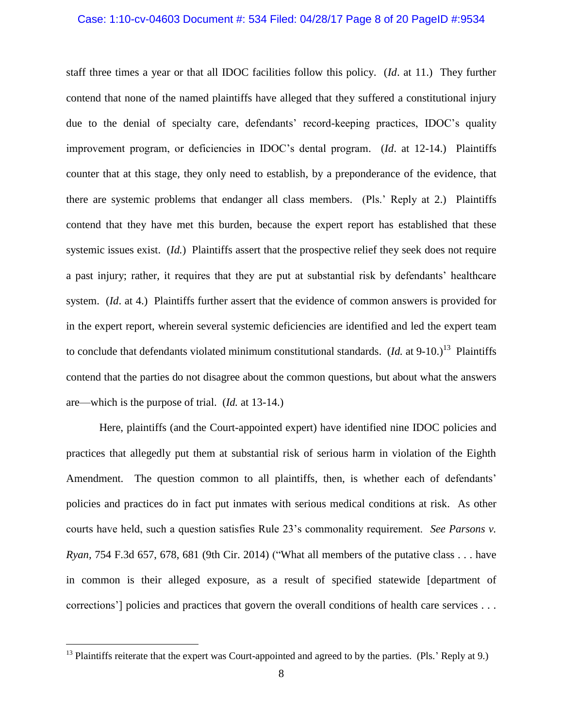#### Case: 1:10-cv-04603 Document #: 534 Filed: 04/28/17 Page 8 of 20 PageID #:9534

staff three times a year or that all IDOC facilities follow this policy. (*Id*. at 11.) They further contend that none of the named plaintiffs have alleged that they suffered a constitutional injury due to the denial of specialty care, defendants' record-keeping practices, IDOC's quality improvement program, or deficiencies in IDOC's dental program. (*Id*. at 12-14.) Plaintiffs counter that at this stage, they only need to establish, by a preponderance of the evidence, that there are systemic problems that endanger all class members. (Pls.' Reply at 2.) Plaintiffs contend that they have met this burden, because the expert report has established that these systemic issues exist. (*Id.*) Plaintiffs assert that the prospective relief they seek does not require a past injury; rather, it requires that they are put at substantial risk by defendants' healthcare system. (*Id*. at 4.) Plaintiffs further assert that the evidence of common answers is provided for in the expert report, wherein several systemic deficiencies are identified and led the expert team to conclude that defendants violated minimum constitutional standards. (*Id.* at  $9-10$ .)<sup>13</sup> Plaintiffs contend that the parties do not disagree about the common questions, but about what the answers are—which is the purpose of trial. (*Id.* at 13-14.)

Here, plaintiffs (and the Court-appointed expert) have identified nine IDOC policies and practices that allegedly put them at substantial risk of serious harm in violation of the Eighth Amendment. The question common to all plaintiffs, then, is whether each of defendants' policies and practices do in fact put inmates with serious medical conditions at risk. As other courts have held, such a question satisfies Rule 23's commonality requirement. *See Parsons v. Ryan,* 754 F.3d 657, 678, 681 (9th Cir. 2014) ("What all members of the putative class . . . have in common is their alleged exposure, as a result of specified statewide [department of corrections'] policies and practices that govern the overall conditions of health care services . . .

<sup>&</sup>lt;sup>13</sup> Plaintiffs reiterate that the expert was Court-appointed and agreed to by the parties. (Pls.' Reply at 9.)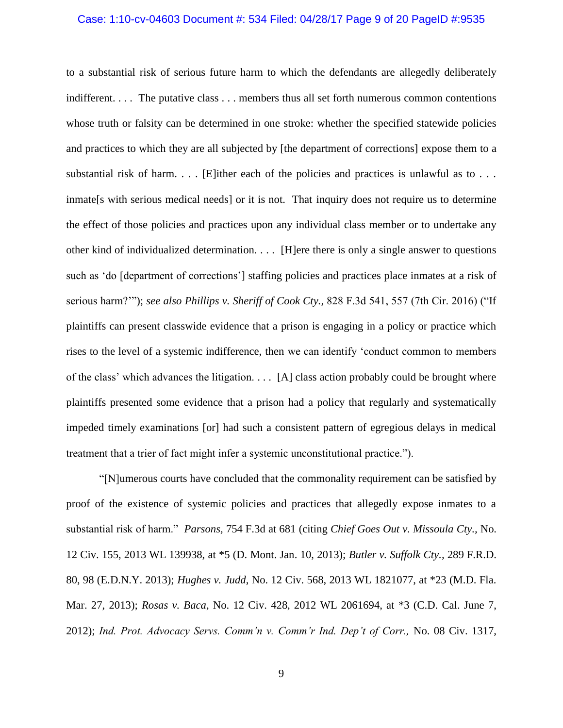#### Case: 1:10-cv-04603 Document #: 534 Filed: 04/28/17 Page 9 of 20 PageID #:9535

to a substantial risk of serious future harm to which the defendants are allegedly deliberately indifferent. . . . The putative class . . . members thus all set forth numerous common contentions whose truth or falsity can be determined in one stroke: whether the specified statewide policies and practices to which they are all subjected by [the department of corrections] expose them to a substantial risk of harm. . . . [E]ither each of the policies and practices is unlawful as to . . . inmate [s with serious medical needs] or it is not. That inquiry does not require us to determine the effect of those policies and practices upon any individual class member or to undertake any other kind of individualized determination. . . . [H]ere there is only a single answer to questions such as 'do [department of corrections'] staffing policies and practices place inmates at a risk of serious harm?'"); *see also Phillips v. Sheriff of Cook Cty.,* 828 F.3d 541, 557 (7th Cir. 2016) ("If plaintiffs can present classwide evidence that a prison is engaging in a policy or practice which rises to the level of a systemic indifference, then we can identify 'conduct common to members of the class' which advances the litigation. . . . [A] class action probably could be brought where plaintiffs presented some evidence that a prison had a policy that regularly and systematically impeded timely examinations [or] had such a consistent pattern of egregious delays in medical treatment that a trier of fact might infer a systemic unconstitutional practice.").

"[N]umerous courts have concluded that the commonality requirement can be satisfied by proof of the existence of systemic policies and practices that allegedly expose inmates to a substantial risk of harm." *Parsons,* 754 F.3d at 681 (citing *Chief Goes Out v. Missoula Cty.,* No. 12 Civ. 155, 2013 WL 139938, at \*5 (D. Mont. Jan. 10, 2013); *Butler v. Suffolk Cty.,* 289 F.R.D. 80, 98 (E.D.N.Y. 2013); *Hughes v. Judd*, No. 12 Civ. 568, 2013 WL 1821077, at \*23 (M.D. Fla. Mar. 27, 2013); *Rosas v. Baca*, No. 12 Civ. 428, 2012 WL 2061694, at \*3 (C.D. Cal. June 7, 2012); *Ind. Prot. Advocacy Servs. Comm'n v. Comm'r Ind. Dep't of Corr.,* No. 08 Civ. 1317,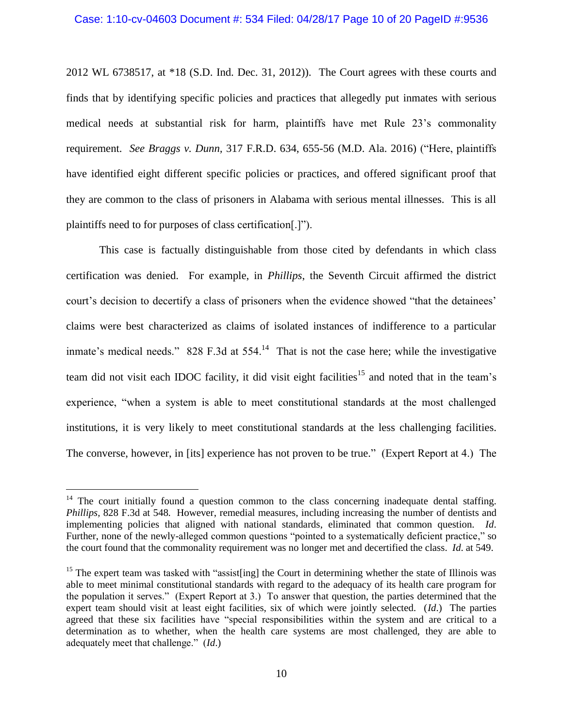#### Case: 1:10-cv-04603 Document #: 534 Filed: 04/28/17 Page 10 of 20 PageID #:9536

2012 WL 6738517, at \*18 (S.D. Ind. Dec. 31, 2012)). The Court agrees with these courts and finds that by identifying specific policies and practices that allegedly put inmates with serious medical needs at substantial risk for harm, plaintiffs have met Rule 23's commonality requirement. *See Braggs v. Dunn,* 317 F.R.D. 634, 655-56 (M.D. Ala. 2016) ("Here, plaintiffs have identified eight different specific policies or practices, and offered significant proof that they are common to the class of prisoners in Alabama with serious mental illnesses. This is all plaintiffs need to for purposes of class certification[.]").

This case is factually distinguishable from those cited by defendants in which class certification was denied. For example, in *Phillips*, the Seventh Circuit affirmed the district court's decision to decertify a class of prisoners when the evidence showed "that the detainees' claims were best characterized as claims of isolated instances of indifference to a particular inmate's medical needs." 828 F.3d at  $554$ .<sup>14</sup> That is not the case here; while the investigative team did not visit each IDOC facility, it did visit eight facilities<sup>15</sup> and noted that in the team's experience, "when a system is able to meet constitutional standards at the most challenged institutions, it is very likely to meet constitutional standards at the less challenging facilities. The converse, however, in [its] experience has not proven to be true." (Expert Report at 4.) The

 $14$  The court initially found a question common to the class concerning inadequate dental staffing. *Phillips,* 828 F.3d at 548. However, remedial measures, including increasing the number of dentists and implementing policies that aligned with national standards, eliminated that common question. *Id*. Further, none of the newly-alleged common questions "pointed to a systematically deficient practice," so the court found that the commonality requirement was no longer met and decertified the class. *Id*. at 549.

<sup>&</sup>lt;sup>15</sup> The expert team was tasked with "assist[ing] the Court in determining whether the state of Illinois was able to meet minimal constitutional standards with regard to the adequacy of its health care program for the population it serves." (Expert Report at 3.) To answer that question, the parties determined that the expert team should visit at least eight facilities, six of which were jointly selected. (*Id*.) The parties agreed that these six facilities have "special responsibilities within the system and are critical to a determination as to whether, when the health care systems are most challenged, they are able to adequately meet that challenge." (*Id*.)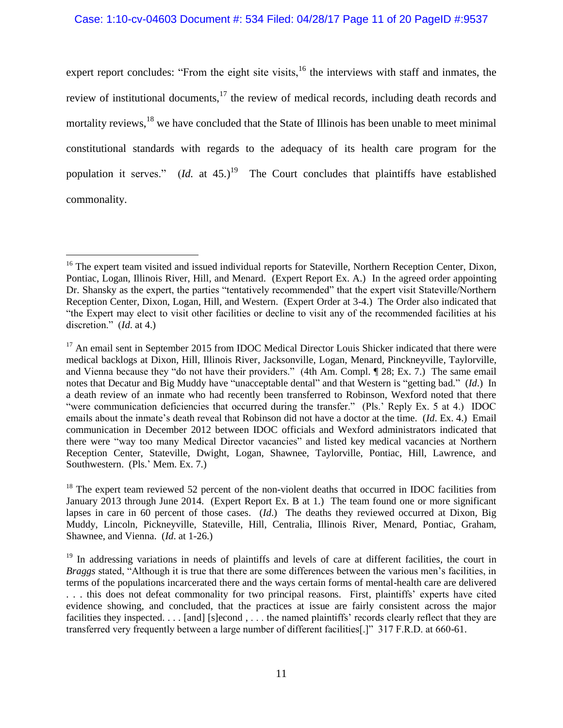### Case: 1:10-cv-04603 Document #: 534 Filed: 04/28/17 Page 11 of 20 PageID #:9537

expert report concludes: "From the eight site visits, $16$  the interviews with staff and inmates, the review of institutional documents,<sup>17</sup> the review of medical records, including death records and mortality reviews,<sup>18</sup> we have concluded that the State of Illinois has been unable to meet minimal constitutional standards with regards to the adequacy of its health care program for the population it serves."  $(Id.$  at 45.)<sup>19</sup> The Court concludes that plaintiffs have established commonality.

<sup>&</sup>lt;sup>16</sup> The expert team visited and issued individual reports for Stateville, Northern Reception Center, Dixon, Pontiac, Logan, Illinois River, Hill, and Menard. (Expert Report Ex. A.) In the agreed order appointing Dr. Shansky as the expert, the parties "tentatively recommended" that the expert visit Stateville/Northern Reception Center, Dixon, Logan, Hill, and Western. (Expert Order at 3-4.) The Order also indicated that "the Expert may elect to visit other facilities or decline to visit any of the recommended facilities at his discretion." (*Id*. at 4.)

<sup>&</sup>lt;sup>17</sup> An email sent in September 2015 from IDOC Medical Director Louis Shicker indicated that there were medical backlogs at Dixon, Hill, Illinois River, Jacksonville, Logan, Menard, Pinckneyville, Taylorville, and Vienna because they "do not have their providers." (4th Am. Compl. ¶ 28; Ex. 7.) The same email notes that Decatur and Big Muddy have "unacceptable dental" and that Western is "getting bad." (*Id*.) In a death review of an inmate who had recently been transferred to Robinson, Wexford noted that there "were communication deficiencies that occurred during the transfer." (Pls.' Reply Ex. 5 at 4.) IDOC emails about the inmate's death reveal that Robinson did not have a doctor at the time. (*Id*. Ex. 4.) Email communication in December 2012 between IDOC officials and Wexford administrators indicated that there were "way too many Medical Director vacancies" and listed key medical vacancies at Northern Reception Center, Stateville, Dwight, Logan, Shawnee, Taylorville, Pontiac, Hill, Lawrence, and Southwestern. (Pls.' Mem. Ex. 7.)

<sup>&</sup>lt;sup>18</sup> The expert team reviewed 52 percent of the non-violent deaths that occurred in IDOC facilities from January 2013 through June 2014. (Expert Report Ex. B at 1.) The team found one or more significant lapses in care in 60 percent of those cases. (*Id*.) The deaths they reviewed occurred at Dixon, Big Muddy, Lincoln, Pickneyville, Stateville, Hill, Centralia, Illinois River, Menard, Pontiac, Graham, Shawnee, and Vienna. (*Id*. at 1-26.)

<sup>&</sup>lt;sup>19</sup> In addressing variations in needs of plaintiffs and levels of care at different facilities, the court in *Braggs* stated, "Although it is true that there are some differences between the various men's facilities, in terms of the populations incarcerated there and the ways certain forms of mental-health care are delivered . . . this does not defeat commonality for two principal reasons. First, plaintiffs' experts have cited evidence showing, and concluded, that the practices at issue are fairly consistent across the major facilities they inspected. . . . [and] [s]econd , . . . the named plaintiffs' records clearly reflect that they are transferred very frequently between a large number of different facilities[.]" 317 F.R.D. at 660-61.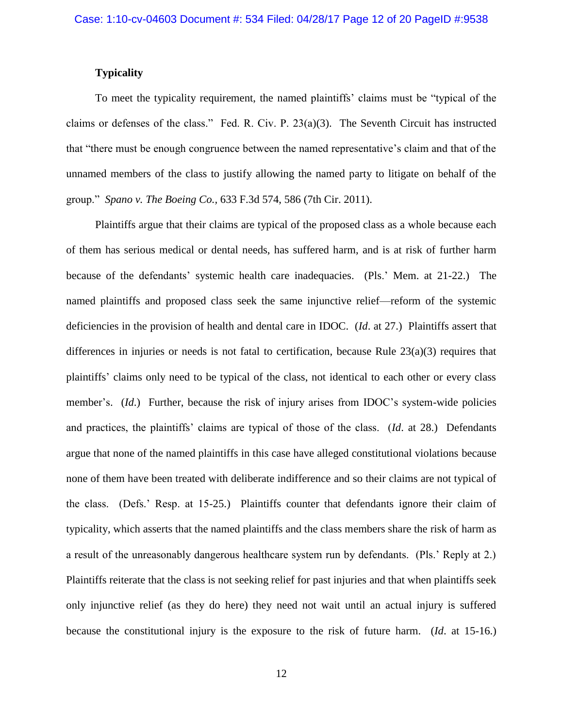## **Typicality**

To meet the typicality requirement, the named plaintiffs' claims must be "typical of the claims or defenses of the class." Fed. R. Civ. P. 23(a)(3). The Seventh Circuit has instructed that "there must be enough congruence between the named representative's claim and that of the unnamed members of the class to justify allowing the named party to litigate on behalf of the group." *Spano v. The Boeing Co.,* 633 F.3d 574, 586 (7th Cir. 2011).

Plaintiffs argue that their claims are typical of the proposed class as a whole because each of them has serious medical or dental needs, has suffered harm, and is at risk of further harm because of the defendants' systemic health care inadequacies. (Pls.' Mem. at 21-22.) The named plaintiffs and proposed class seek the same injunctive relief—reform of the systemic deficiencies in the provision of health and dental care in IDOC. (*Id*. at 27.) Plaintiffs assert that differences in injuries or needs is not fatal to certification, because Rule  $23(a)(3)$  requires that plaintiffs' claims only need to be typical of the class, not identical to each other or every class member's. (*Id*.) Further, because the risk of injury arises from IDOC's system-wide policies and practices, the plaintiffs' claims are typical of those of the class. (*Id*. at 28.) Defendants argue that none of the named plaintiffs in this case have alleged constitutional violations because none of them have been treated with deliberate indifference and so their claims are not typical of the class. (Defs.' Resp. at 15-25.) Plaintiffs counter that defendants ignore their claim of typicality, which asserts that the named plaintiffs and the class members share the risk of harm as a result of the unreasonably dangerous healthcare system run by defendants. (Pls.' Reply at 2.) Plaintiffs reiterate that the class is not seeking relief for past injuries and that when plaintiffs seek only injunctive relief (as they do here) they need not wait until an actual injury is suffered because the constitutional injury is the exposure to the risk of future harm. (*Id*. at 15-16.)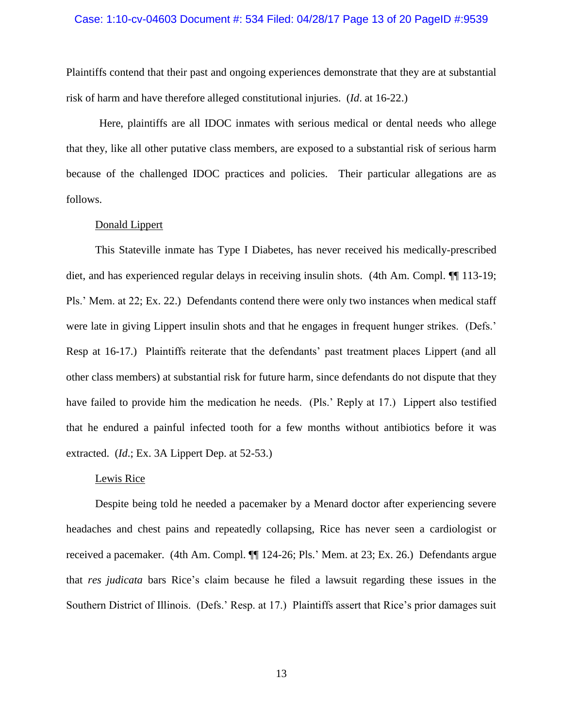#### Case: 1:10-cv-04603 Document #: 534 Filed: 04/28/17 Page 13 of 20 PageID #:9539

Plaintiffs contend that their past and ongoing experiences demonstrate that they are at substantial risk of harm and have therefore alleged constitutional injuries. (*Id*. at 16-22.)

Here, plaintiffs are all IDOC inmates with serious medical or dental needs who allege that they, like all other putative class members, are exposed to a substantial risk of serious harm because of the challenged IDOC practices and policies. Their particular allegations are as follows.

## Donald Lippert

This Stateville inmate has Type I Diabetes, has never received his medically-prescribed diet, and has experienced regular delays in receiving insulin shots. (4th Am. Compl.  $\P\P$  113-19; Pls.' Mem. at 22; Ex. 22.) Defendants contend there were only two instances when medical staff were late in giving Lippert insulin shots and that he engages in frequent hunger strikes. (Defs.' Resp at 16-17.) Plaintiffs reiterate that the defendants' past treatment places Lippert (and all other class members) at substantial risk for future harm, since defendants do not dispute that they have failed to provide him the medication he needs. (Pls.' Reply at 17.) Lippert also testified that he endured a painful infected tooth for a few months without antibiotics before it was extracted. (*Id*.; Ex. 3A Lippert Dep. at 52-53.)

#### Lewis Rice

Despite being told he needed a pacemaker by a Menard doctor after experiencing severe headaches and chest pains and repeatedly collapsing, Rice has never seen a cardiologist or received a pacemaker. (4th Am. Compl. ¶¶ 124-26; Pls.' Mem. at 23; Ex. 26.) Defendants argue that *res judicata* bars Rice's claim because he filed a lawsuit regarding these issues in the Southern District of Illinois. (Defs.' Resp. at 17.) Plaintiffs assert that Rice's prior damages suit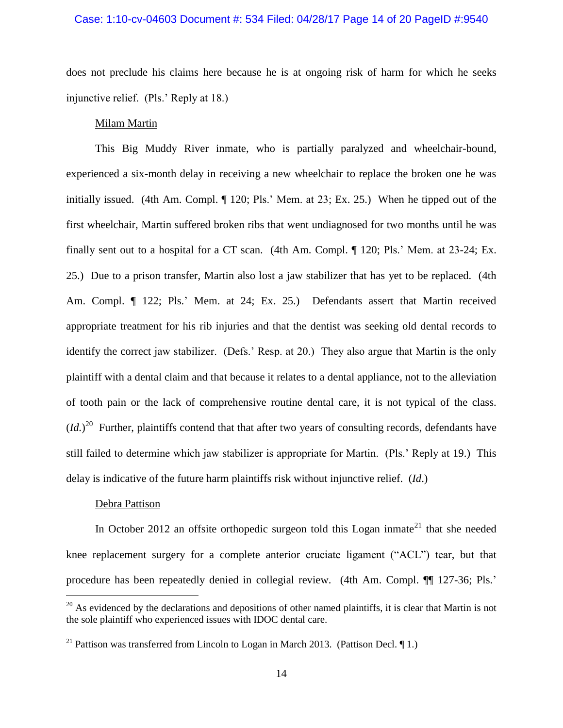#### Case: 1:10-cv-04603 Document #: 534 Filed: 04/28/17 Page 14 of 20 PageID #:9540

does not preclude his claims here because he is at ongoing risk of harm for which he seeks injunctive relief. (Pls.' Reply at 18.)

## Milam Martin

This Big Muddy River inmate, who is partially paralyzed and wheelchair-bound, experienced a six-month delay in receiving a new wheelchair to replace the broken one he was initially issued. (4th Am. Compl. ¶ 120; Pls.' Mem. at 23; Ex. 25.) When he tipped out of the first wheelchair, Martin suffered broken ribs that went undiagnosed for two months until he was finally sent out to a hospital for a CT scan. (4th Am. Compl. ¶ 120; Pls.' Mem. at 23-24; Ex. 25.) Due to a prison transfer, Martin also lost a jaw stabilizer that has yet to be replaced. (4th Am. Compl. ¶ 122; Pls.' Mem. at 24; Ex. 25.) Defendants assert that Martin received appropriate treatment for his rib injuries and that the dentist was seeking old dental records to identify the correct jaw stabilizer. (Defs.' Resp. at 20.) They also argue that Martin is the only plaintiff with a dental claim and that because it relates to a dental appliance, not to the alleviation of tooth pain or the lack of comprehensive routine dental care, it is not typical of the class.  $(Id.)<sup>20</sup>$  Further, plaintiffs contend that that after two years of consulting records, defendants have still failed to determine which jaw stabilizer is appropriate for Martin. (Pls.' Reply at 19.) This delay is indicative of the future harm plaintiffs risk without injunctive relief. (*Id*.)

#### Debra Pattison

 $\overline{a}$ 

In October 2012 an offsite orthopedic surgeon told this Logan inmate<sup>21</sup> that she needed knee replacement surgery for a complete anterior cruciate ligament ("ACL") tear, but that procedure has been repeatedly denied in collegial review. (4th Am. Compl. ¶¶ 127-36; Pls.'

 $20$  As evidenced by the declarations and depositions of other named plaintiffs, it is clear that Martin is not the sole plaintiff who experienced issues with IDOC dental care.

<sup>&</sup>lt;sup>21</sup> Pattison was transferred from Lincoln to Logan in March 2013. (Pattison Decl.  $\P$ 1.)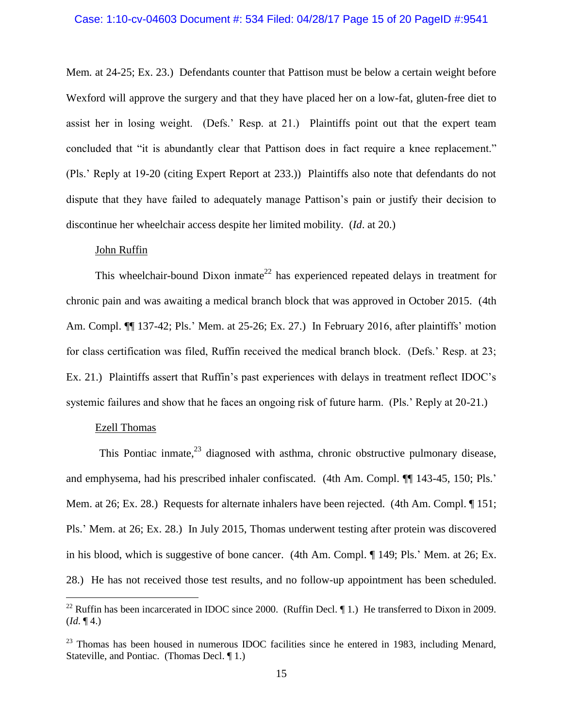## Case: 1:10-cv-04603 Document #: 534 Filed: 04/28/17 Page 15 of 20 PageID #:9541

Mem*.* at 24-25; Ex. 23.) Defendants counter that Pattison must be below a certain weight before Wexford will approve the surgery and that they have placed her on a low-fat, gluten-free diet to assist her in losing weight. (Defs.' Resp. at 21.) Plaintiffs point out that the expert team concluded that "it is abundantly clear that Pattison does in fact require a knee replacement." (Pls.' Reply at 19-20 (citing Expert Report at 233.)) Plaintiffs also note that defendants do not dispute that they have failed to adequately manage Pattison's pain or justify their decision to discontinue her wheelchair access despite her limited mobility. (*Id*. at 20.)

## John Ruffin

This wheelchair-bound Dixon inmate<sup>22</sup> has experienced repeated delays in treatment for chronic pain and was awaiting a medical branch block that was approved in October 2015. (4th Am. Compl. ¶¶ 137-42; Pls.' Mem. at 25-26; Ex. 27.) In February 2016, after plaintiffs' motion for class certification was filed, Ruffin received the medical branch block. (Defs.' Resp. at 23; Ex. 21.) Plaintiffs assert that Ruffin's past experiences with delays in treatment reflect IDOC's systemic failures and show that he faces an ongoing risk of future harm. (Pls.' Reply at 20-21.)

#### Ezell Thomas

 $\overline{a}$ 

This Pontiac inmate, $^{23}$  diagnosed with asthma, chronic obstructive pulmonary disease, and emphysema, had his prescribed inhaler confiscated. (4th Am. Compl. ¶¶ 143-45, 150; Pls.' Mem. at 26; Ex. 28.) Requests for alternate inhalers have been rejected. (4th Am. Compl. ¶ 151; Pls.' Mem. at 26; Ex. 28.) In July 2015, Thomas underwent testing after protein was discovered in his blood, which is suggestive of bone cancer. (4th Am. Compl. ¶ 149; Pls.' Mem. at 26; Ex. 28.) He has not received those test results, and no follow-up appointment has been scheduled.

<sup>&</sup>lt;sup>22</sup> Ruffin has been incarcerated in IDOC since 2000. (Ruffin Decl.  $\P$  1.) He transferred to Dixon in 2009.  $(Id. \P 4.)$ 

 $23$  Thomas has been housed in numerous IDOC facilities since he entered in 1983, including Menard, Stateville, and Pontiac. (Thomas Decl. ¶ 1.)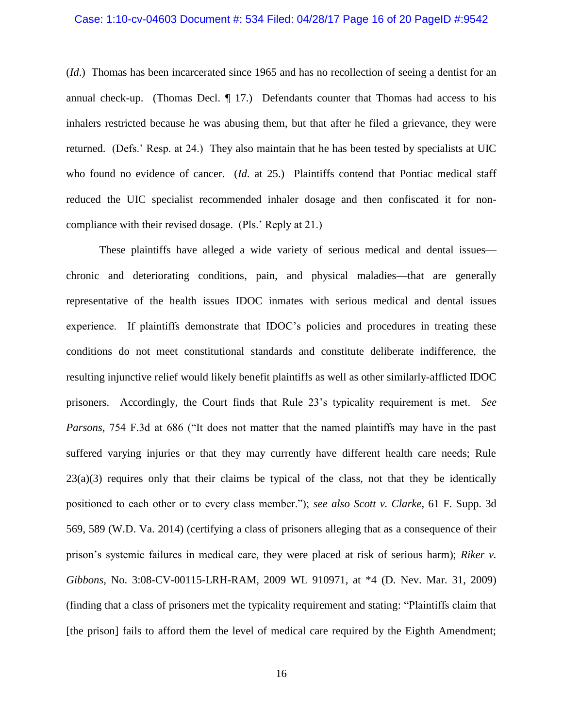#### Case: 1:10-cv-04603 Document #: 534 Filed: 04/28/17 Page 16 of 20 PageID #:9542

(*Id*.) Thomas has been incarcerated since 1965 and has no recollection of seeing a dentist for an annual check-up. (Thomas Decl. ¶ 17.) Defendants counter that Thomas had access to his inhalers restricted because he was abusing them, but that after he filed a grievance, they were returned. (Defs.' Resp. at 24.) They also maintain that he has been tested by specialists at UIC who found no evidence of cancer. (*Id.* at 25.) Plaintiffs contend that Pontiac medical staff reduced the UIC specialist recommended inhaler dosage and then confiscated it for noncompliance with their revised dosage. (Pls.' Reply at 21.)

These plaintiffs have alleged a wide variety of serious medical and dental issues chronic and deteriorating conditions, pain, and physical maladies—that are generally representative of the health issues IDOC inmates with serious medical and dental issues experience. If plaintiffs demonstrate that IDOC's policies and procedures in treating these conditions do not meet constitutional standards and constitute deliberate indifference, the resulting injunctive relief would likely benefit plaintiffs as well as other similarly-afflicted IDOC prisoners. Accordingly, the Court finds that Rule 23's typicality requirement is met. *See Parsons,* 754 F.3d at 686 ("It does not matter that the named plaintiffs may have in the past suffered varying injuries or that they may currently have different health care needs; Rule  $23(a)(3)$  requires only that their claims be typical of the class, not that they be identically positioned to each other or to every class member."); *see also Scott v. Clarke,* 61 F. Supp. 3d 569, 589 (W.D. Va. 2014) (certifying a class of prisoners alleging that as a consequence of their prison's systemic failures in medical care, they were placed at risk of serious harm); *Riker v. Gibbons,* No. 3:08-CV-00115-LRH-RAM, 2009 WL 910971, at \*4 (D. Nev. Mar. 31, 2009) (finding that a class of prisoners met the typicality requirement and stating: "Plaintiffs claim that [the prison] fails to afford them the level of medical care required by the Eighth Amendment;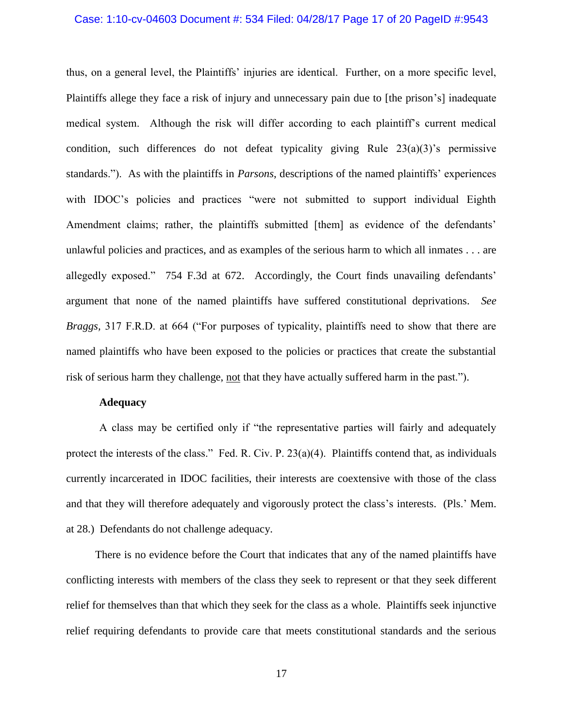#### Case: 1:10-cv-04603 Document #: 534 Filed: 04/28/17 Page 17 of 20 PageID #:9543

thus, on a general level, the Plaintiffs' injuries are identical. Further, on a more specific level, Plaintiffs allege they face a risk of injury and unnecessary pain due to [the prison's] inadequate medical system. Although the risk will differ according to each plaintiff's current medical condition, such differences do not defeat typicality giving Rule  $23(a)(3)$ 's permissive standards."). As with the plaintiffs in *Parsons*, descriptions of the named plaintiffs' experiences with IDOC's policies and practices "were not submitted to support individual Eighth Amendment claims; rather, the plaintiffs submitted [them] as evidence of the defendants' unlawful policies and practices, and as examples of the serious harm to which all inmates . . . are allegedly exposed." 754 F.3d at 672. Accordingly, the Court finds unavailing defendants' argument that none of the named plaintiffs have suffered constitutional deprivations. *See Braggs,* 317 F.R.D. at 664 ("For purposes of typicality, plaintiffs need to show that there are named plaintiffs who have been exposed to the policies or practices that create the substantial risk of serious harm they challenge, not that they have actually suffered harm in the past.").

### **Adequacy**

A class may be certified only if "the representative parties will fairly and adequately protect the interests of the class." Fed. R. Civ. P. 23(a)(4). Plaintiffs contend that, as individuals currently incarcerated in IDOC facilities, their interests are coextensive with those of the class and that they will therefore adequately and vigorously protect the class's interests. (Pls.' Mem. at 28.) Defendants do not challenge adequacy.

There is no evidence before the Court that indicates that any of the named plaintiffs have conflicting interests with members of the class they seek to represent or that they seek different relief for themselves than that which they seek for the class as a whole. Plaintiffs seek injunctive relief requiring defendants to provide care that meets constitutional standards and the serious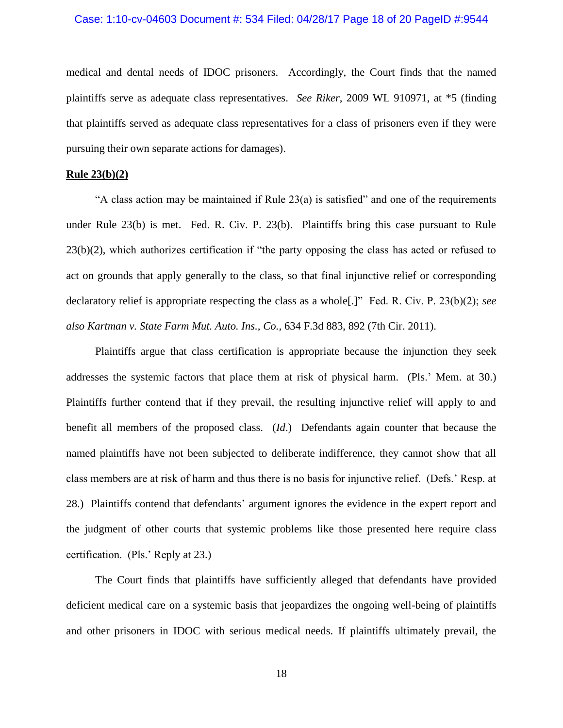#### Case: 1:10-cv-04603 Document #: 534 Filed: 04/28/17 Page 18 of 20 PageID #:9544

medical and dental needs of IDOC prisoners. Accordingly, the Court finds that the named plaintiffs serve as adequate class representatives. *See Riker,* 2009 WL 910971, at \*5 (finding that plaintiffs served as adequate class representatives for a class of prisoners even if they were pursuing their own separate actions for damages).

#### **Rule 23(b)(2)**

"A class action may be maintained if Rule 23(a) is satisfied" and one of the requirements under Rule 23(b) is met. Fed. R. Civ. P. 23(b). Plaintiffs bring this case pursuant to Rule 23(b)(2), which authorizes certification if "the party opposing the class has acted or refused to act on grounds that apply generally to the class, so that final injunctive relief or corresponding declaratory relief is appropriate respecting the class as a whole[.]" Fed. R. Civ. P. 23(b)(2); *see also Kartman v. State Farm Mut. Auto. Ins., Co.,* 634 F.3d 883, 892 (7th Cir. 2011).

Plaintiffs argue that class certification is appropriate because the injunction they seek addresses the systemic factors that place them at risk of physical harm. (Pls.' Mem. at 30.) Plaintiffs further contend that if they prevail, the resulting injunctive relief will apply to and benefit all members of the proposed class. (*Id*.) Defendants again counter that because the named plaintiffs have not been subjected to deliberate indifference, they cannot show that all class members are at risk of harm and thus there is no basis for injunctive relief. (Defs.' Resp. at 28.) Plaintiffs contend that defendants' argument ignores the evidence in the expert report and the judgment of other courts that systemic problems like those presented here require class certification. (Pls.' Reply at 23.)

The Court finds that plaintiffs have sufficiently alleged that defendants have provided deficient medical care on a systemic basis that jeopardizes the ongoing well-being of plaintiffs and other prisoners in IDOC with serious medical needs. If plaintiffs ultimately prevail, the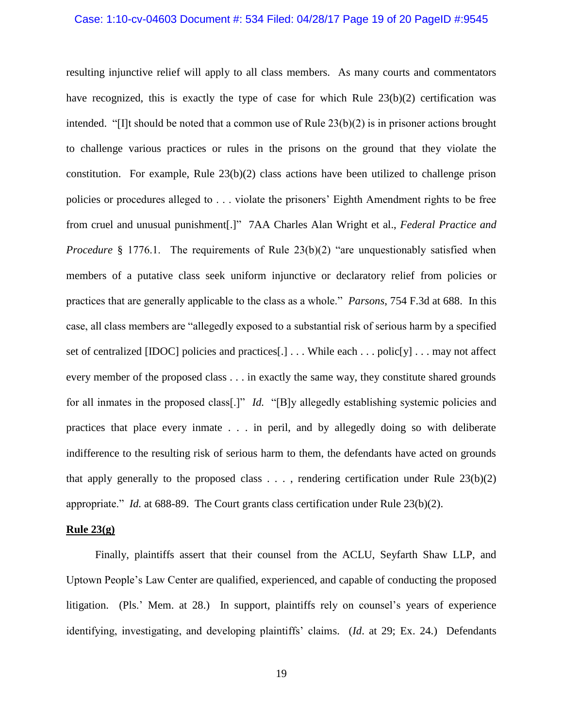## Case: 1:10-cv-04603 Document #: 534 Filed: 04/28/17 Page 19 of 20 PageID #:9545

resulting injunctive relief will apply to all class members. As many courts and commentators have recognized, this is exactly the type of case for which Rule  $23(b)(2)$  certification was intended. "[I]t should be noted that a common use of Rule 23(b)(2) is in prisoner actions brought to challenge various practices or rules in the prisons on the ground that they violate the constitution. For example, Rule 23(b)(2) class actions have been utilized to challenge prison policies or procedures alleged to . . . violate the prisoners' Eighth Amendment rights to be free from cruel and unusual punishment[.]" 7AA Charles Alan Wright et al., *Federal Practice and Procedure* § 1776.1. The requirements of Rule 23(b)(2) "are unquestionably satisfied when members of a putative class seek uniform injunctive or declaratory relief from policies or practices that are generally applicable to the class as a whole." *Parsons*, 754 F.3d at 688. In this case, all class members are "allegedly exposed to a substantial risk of serious harm by a specified set of centralized [IDOC] policies and practices[.] . . . While each . . . polic[y] . . . may not affect every member of the proposed class . . . in exactly the same way, they constitute shared grounds for all inmates in the proposed class[.]" *Id.* "[B]y allegedly establishing systemic policies and practices that place every inmate . . . in peril, and by allegedly doing so with deliberate indifference to the resulting risk of serious harm to them, the defendants have acted on grounds that apply generally to the proposed class  $\dots$ , rendering certification under Rule 23(b)(2) appropriate." *Id.* at 688-89. The Court grants class certification under Rule 23(b)(2).

#### **Rule 23(g)**

Finally, plaintiffs assert that their counsel from the ACLU, Seyfarth Shaw LLP, and Uptown People's Law Center are qualified, experienced, and capable of conducting the proposed litigation. (Pls.' Mem. at 28.) In support, plaintiffs rely on counsel's years of experience identifying, investigating, and developing plaintiffs' claims. (*Id*. at 29; Ex. 24.) Defendants